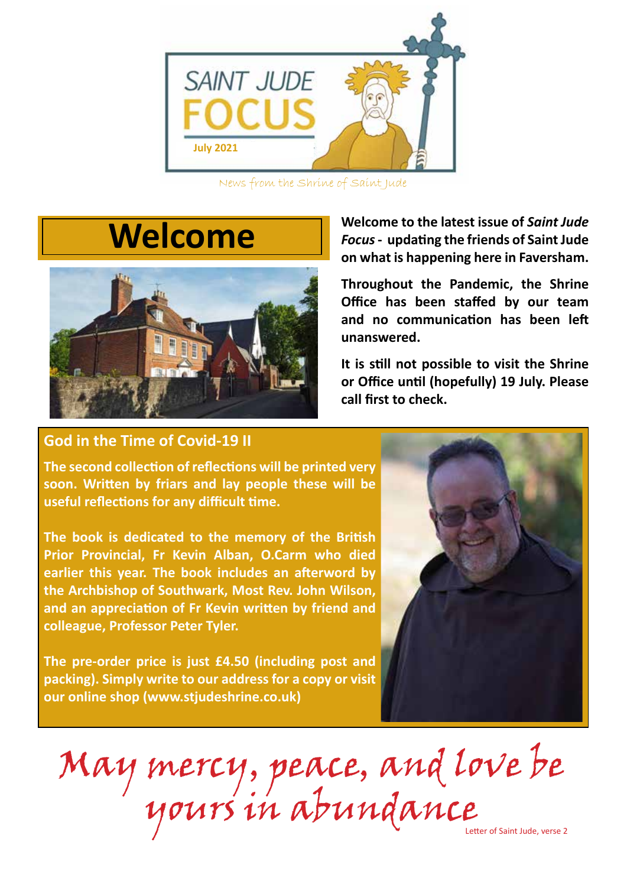

News from the Shrine of Saint Jude

## **Welcome**



**Welcome to the latest issue of** *Saint Jude Focus* **- updating the friends of Saint Jude on what is happening here in Faversham.** 

**Throughout the Pandemic, the Shrine Office has been staffed by our team and no communication has been left unanswered.** 

**It is still not possible to visit the Shrine or Office until (hopefully) 19 July. Please call first to check.** 

## **God in the Time of Covid-19 II**

**The second collection of reflections will be printed very soon. Written by friars and lay people these will be useful reflections for any difficult time.** 

**The book is dedicated to the memory of the British Prior Provincial, Fr Kevin Alban, O.Carm who died earlier this year. The book includes an afterword by the Archbishop of Southwark, Most Rev. John Wilson, and an appreciation of Fr Kevin written by friend and colleague, Professor Peter Tyler.** 

**The pre-order price is just £4.50 (including post and packing). Simply write to our address for a copy or visit our online shop (www.stjudeshrine.co.uk)**



May mercy, peace, and love be yours in abundance